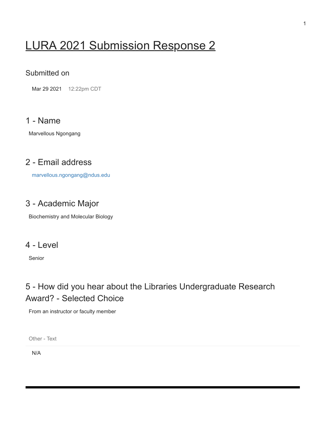# LURA 2021 Submission Response 2

#### Submitted on

Mar 29 2021 12:22pm CDT

#### 1 - Name

Marvellous Ngongang

### 2 - Email address

[marvellous.ngongang@ndus.edu](mailto:marvellous.ngongang@ndus.edu)

### 3 - Academic Major

Biochemistry and Molecular Biology

#### 4 - Level

Senior

### 5 - How did you hear about the Libraries Undergraduate Research Award? - Selected Choice

From an instructor or faculty member

Other - Text

N/A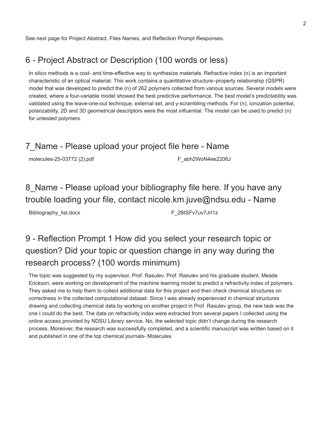See next page for Project Abstract, Files Names, and Reflection Prompt Responses.

#### 6 - Project Abstract or Description (100 words or less)

In silico methods is a cost- and time-effective way to synthesize materials. Refractive index (n) is an important characteristic of an optical material. This work contains a quantitative structure–property relationship (QSPR) model that was developed to predict the (n) of 262 polymers collected from various sources. Several models were created, where a four-variable model showed the best predictive performance. The best model's predictability was validated using the leave-one-out technique, external set, and y-scrambling methods. For (n), ionization potential, polarizability, 2D and 3D geometrical descriptors were the most influential. The model can be used to predict (n) for untested polymers.

#### 7\_Name - Please upload your project file here - Name

molecules-25-03772 (2).pdf Fabh2WoN4ee2206J

### 8 Name - Please upload your bibliography file here. If you have any trouble loading your file, contact nicole.km.juve@ndsu.edu - Name

Bibliography\_list.docx F\_2BtSFv7uv7JrI1z

## 9 - Reflection Prompt 1 How did you select your research topic or question? Did your topic or question change in any way during the research process? (100 words minimum)

The topic was suggested by my supervisor, Prof. Rasulev. Prof. Rasulev and his graduate student, Meade Erickson, were working on development of the machine learning model to predict a refractivity index of polymers. They asked me to help them to collect additional data for this project and then check chemical structures on correctness in the collected computational dataset. Since I was already experienced in chemical structures drawing and collecting chemical data by working on another project in Prof. Rasulev group, the new task was the one I could do the best. The data on refractivity index were extracted from several papers I collected using the online access provided by NDSU Library service. No, the selected topic didn't change during the research process. Moreover, the research was successfully completed, and a scientific manuscript was written based on it and published in one of the top chemical journals- Molecules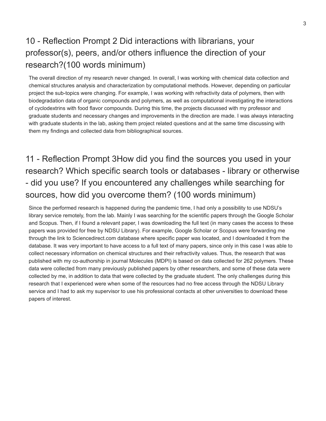## 10 - Reflection Prompt 2 Did interactions with librarians, your professor(s), peers, and/or others influence the direction of your research?(100 words minimum)

The overall direction of my research never changed. In overall, I was working with chemical data collection and chemical structures analysis and characterization by computational methods. However, depending on particular project the sub-topics were changing. For example, I was working with refractivity data of polymers, then with biodegradation data of organic compounds and polymers, as well as computational investigating the interactions of cyclodextrins with food flavor compounds. During this time, the projects discussed with my professor and graduate students and necessary changes and improvements in the direction are made. I was always interacting with graduate students in the lab, asking them project related questions and at the same time discussing with them my findings and collected data from bibliographical sources.

# 11 - Reflection Prompt 3How did you find the sources you used in your research? Which specific search tools or databases - library or otherwise - did you use? If you encountered any challenges while searching for sources, how did you overcome them? (100 words minimum)

Since the performed research is happened during the pandemic time, I had only a possibility to use NDSU's library service remotely, from the lab. Mainly I was searching for the scientific papers through the Google Scholar and Scopus. Then, if I found a relevant paper, I was downloading the full text (in many cases the access to these papers was provided for free by NDSU Library). For example, Google Scholar or Scopus were forwarding me through the link to Sciencedirect.com database where specific paper was located, and I downloaded it from the database. It was very important to have access to a full text of many papers, since only in this case I was able to collect necessary information on chemical structures and their refractivity values. Thus, the research that was published with my co-authorship in journal Molecules (MDPI) is based on data collected for 262 polymers. These data were collected from many previously published papers by other researchers, and some of these data were collected by me, in addition to data that were collected by the graduate student. The only challenges during this research that I experienced were when some of the resources had no free access through the NDSU Library service and I had to ask my supervisor to use his professional contacts at other universities to download these papers of interest.